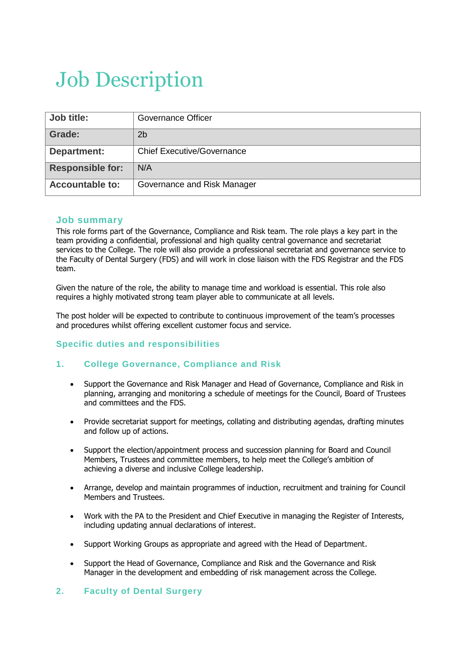## Job Description

| Job title:              | Governance Officer                |
|-------------------------|-----------------------------------|
| Grade:                  | 2 <sub>b</sub>                    |
| Department:             | <b>Chief Executive/Governance</b> |
| <b>Responsible for:</b> | N/A                               |
| <b>Accountable to:</b>  | Governance and Risk Manager       |

#### **Job summary**

This role forms part of the Governance, Compliance and Risk team. The role plays a key part in the team providing a confidential, professional and high quality central governance and secretariat services to the College. The role will also provide a professional secretariat and governance service to the Faculty of Dental Surgery (FDS) and will work in close liaison with the FDS Registrar and the FDS team.

Given the nature of the role, the ability to manage time and workload is essential. This role also requires a highly motivated strong team player able to communicate at all levels.

The post holder will be expected to contribute to continuous improvement of the team's processes and procedures whilst offering excellent customer focus and service.

#### **Specific duties and responsibilities**

#### **1. College Governance, Compliance and Risk**

- Support the Governance and Risk Manager and Head of Governance, Compliance and Risk in planning, arranging and monitoring a schedule of meetings for the Council, Board of Trustees and committees and the FDS.
- Provide secretariat support for meetings, collating and distributing agendas, drafting minutes and follow up of actions.
- Support the election/appointment process and succession planning for Board and Council Members, Trustees and committee members, to help meet the College's ambition of achieving a diverse and inclusive College leadership.
- Arrange, develop and maintain programmes of induction, recruitment and training for Council Members and Trustees.
- Work with the PA to the President and Chief Executive in managing the Register of Interests, including updating annual declarations of interest.
- Support Working Groups as appropriate and agreed with the Head of Department.
- Support the Head of Governance, Compliance and Risk and the Governance and Risk Manager in the development and embedding of risk management across the College.

#### **2. Faculty of Dental Surgery**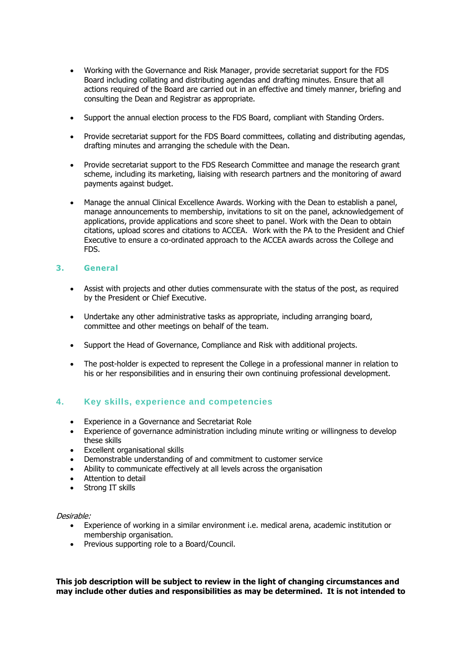- Working with the Governance and Risk Manager, provide secretariat support for the FDS Board including collating and distributing agendas and drafting minutes. Ensure that all actions required of the Board are carried out in an effective and timely manner, briefing and consulting the Dean and Registrar as appropriate.
- Support the annual election process to the FDS Board, compliant with Standing Orders.
- Provide secretariat support for the FDS Board committees, collating and distributing agendas, drafting minutes and arranging the schedule with the Dean.
- Provide secretariat support to the FDS Research Committee and manage the research grant scheme, including its marketing, liaising with research partners and the monitoring of award payments against budget.
- Manage the annual Clinical Excellence Awards. Working with the Dean to establish a panel, manage announcements to membership, invitations to sit on the panel, acknowledgement of applications, provide applications and score sheet to panel. Work with the Dean to obtain citations, upload scores and citations to ACCEA. Work with the PA to the President and Chief Executive to ensure a co-ordinated approach to the ACCEA awards across the College and FDS.

#### **3. General**

- Assist with projects and other duties commensurate with the status of the post, as required by the President or Chief Executive.
- Undertake any other administrative tasks as appropriate, including arranging board, committee and other meetings on behalf of the team.
- Support the Head of Governance, Compliance and Risk with additional projects.
- The post-holder is expected to represent the College in a professional manner in relation to his or her responsibilities and in ensuring their own continuing professional development.

#### **4. Key skills, experience and competencies**

- Experience in a Governance and Secretariat Role
- Experience of governance administration including minute writing or willingness to develop these skills
- Excellent organisational skills
- Demonstrable understanding of and commitment to customer service
- Ability to communicate effectively at all levels across the organisation
- Attention to detail
- Strong IT skills

#### Desirable:

- Experience of working in a similar environment i.e. medical arena, academic institution or membership organisation.
- Previous supporting role to a Board/Council.

**This job description will be subject to review in the light of changing circumstances and may include other duties and responsibilities as may be determined. It is not intended to**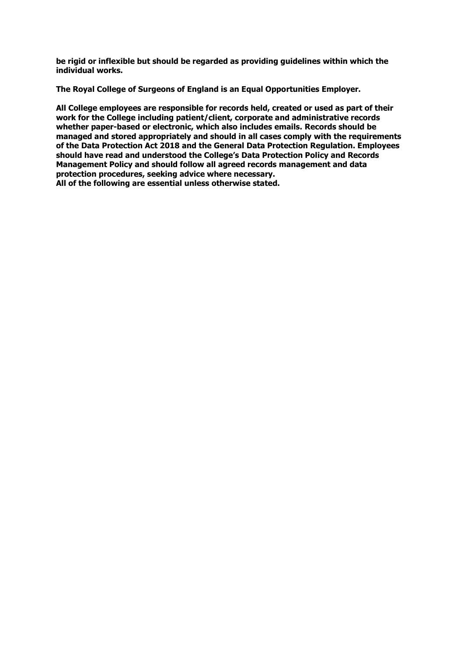**be rigid or inflexible but should be regarded as providing guidelines within which the individual works.**

**The Royal College of Surgeons of England is an Equal Opportunities Employer.**

**All College employees are responsible for records held, created or used as part of their work for the College including patient/client, corporate and administrative records whether paper-based or electronic, which also includes emails. Records should be managed and stored appropriately and should in all cases comply with the requirements of the Data Protection Act 2018 and the General Data Protection Regulation. Employees should have read and understood the College's Data Protection Policy and Records Management Policy and should follow all agreed records management and data protection procedures, seeking advice where necessary.**

**All of the following are essential unless otherwise stated.**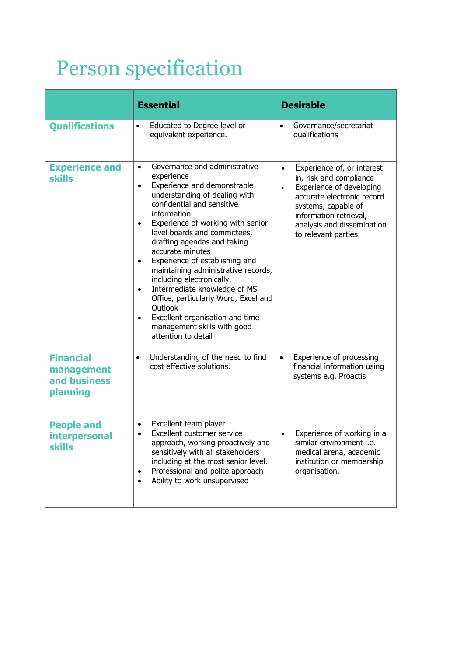# Person specification

|                                                            | <b>Essential</b>                                                                                                                                                                                                                                                                                                                                                                                                                                                                                                                                                                                                                                 | <b>Desirable</b>                                                                                                                                                                                                                                 |
|------------------------------------------------------------|--------------------------------------------------------------------------------------------------------------------------------------------------------------------------------------------------------------------------------------------------------------------------------------------------------------------------------------------------------------------------------------------------------------------------------------------------------------------------------------------------------------------------------------------------------------------------------------------------------------------------------------------------|--------------------------------------------------------------------------------------------------------------------------------------------------------------------------------------------------------------------------------------------------|
| <b>Qualifications</b>                                      | Educated to Degree level or<br>$\bullet$<br>equivalent experience.                                                                                                                                                                                                                                                                                                                                                                                                                                                                                                                                                                               | Governance/secretariat<br>$\bullet$<br>qualifications                                                                                                                                                                                            |
| <b>Experience and</b><br>skills                            | Governance and administrative<br>$\bullet$<br>experience<br>Experience and demonstrable<br>$\bullet$<br>understanding of dealing with<br>confidential and sensitive<br>information<br>Experience of working with senior<br>$\bullet$<br>level boards and committees,<br>drafting agendas and taking<br>accurate minutes<br>Experience of establishing and<br>$\bullet$<br>maintaining administrative records,<br>including electronically.<br>Intermediate knowledge of MS<br>$\bullet$<br>Office, particularly Word, Excel and<br>Outlook<br>Excellent organisation and time<br>$\bullet$<br>management skills with good<br>attention to detail | Experience of, or interest<br>$\bullet$<br>in, risk and compliance<br>Experience of developing<br>$\bullet$<br>accurate electronic record<br>systems, capable of<br>information retrieval,<br>analysis and dissemination<br>to relevant parties. |
| <b>Financial</b><br>management<br>and business<br>planning | Understanding of the need to find<br>$\bullet$<br>cost effective solutions.                                                                                                                                                                                                                                                                                                                                                                                                                                                                                                                                                                      | Experience of processing<br>$\bullet$<br>financial information using<br>systems e.g. Proactis                                                                                                                                                    |
| <b>People and</b><br><b>interpersonal</b><br><b>skills</b> | Excellent team player<br>$\bullet$<br>Excellent customer service<br>$\bullet$<br>approach, working proactively and<br>sensitively with all stakeholders<br>including at the most senior level.<br>Professional and polite approach<br>$\bullet$<br>Ability to work unsupervised<br>$\bullet$                                                                                                                                                                                                                                                                                                                                                     | Experience of working in a<br>similar environment i.e.<br>medical arena, academic<br>institution or membership<br>organisation.                                                                                                                  |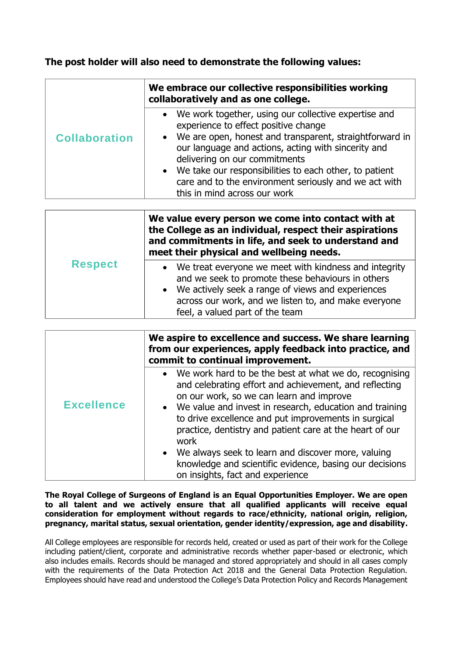### **The post holder will also need to demonstrate the following values:**

|                      | We embrace our collective responsibilities working<br>collaboratively and as one college.                                                                                                                                                                                                                                                                                                              |  |
|----------------------|--------------------------------------------------------------------------------------------------------------------------------------------------------------------------------------------------------------------------------------------------------------------------------------------------------------------------------------------------------------------------------------------------------|--|
| <b>Collaboration</b> | We work together, using our collective expertise and<br>experience to effect positive change<br>• We are open, honest and transparent, straightforward in<br>our language and actions, acting with sincerity and<br>delivering on our commitments<br>• We take our responsibilities to each other, to patient<br>care and to the environment seriously and we act with<br>this in mind across our work |  |

| <b>Respect</b> | We value every person we come into contact with at<br>the College as an individual, respect their aspirations<br>and commitments in life, and seek to understand and<br>meet their physical and wellbeing needs.                                                        |  |
|----------------|-------------------------------------------------------------------------------------------------------------------------------------------------------------------------------------------------------------------------------------------------------------------------|--|
|                | We treat everyone we meet with kindness and integrity<br>and we seek to promote these behaviours in others<br>We actively seek a range of views and experiences<br>$\bullet$<br>across our work, and we listen to, and make everyone<br>feel, a valued part of the team |  |

|                   | We aspire to excellence and success. We share learning<br>from our experiences, apply feedback into practice, and<br>commit to continual improvement.                                                                                                                                                                                                                                                                                                                                                        |
|-------------------|--------------------------------------------------------------------------------------------------------------------------------------------------------------------------------------------------------------------------------------------------------------------------------------------------------------------------------------------------------------------------------------------------------------------------------------------------------------------------------------------------------------|
| <b>Excellence</b> | We work hard to be the best at what we do, recognising<br>and celebrating effort and achievement, and reflecting<br>on our work, so we can learn and improve<br>• We value and invest in research, education and training<br>to drive excellence and put improvements in surgical<br>practice, dentistry and patient care at the heart of our<br>work<br>• We always seek to learn and discover more, valuing<br>knowledge and scientific evidence, basing our decisions<br>on insights, fact and experience |

**The Royal College of Surgeons of England is an Equal Opportunities Employer. We are open to all talent and we actively ensure that all qualified applicants will receive equal consideration for employment without regards to race/ethnicity, national origin, religion, pregnancy, marital status, sexual orientation, gender identity/expression, age and disability.**

All College employees are responsible for records held, created or used as part of their work for the College including patient/client, corporate and administrative records whether paper-based or electronic, which also includes emails. Records should be managed and stored appropriately and should in all cases comply with the requirements of the Data Protection Act 2018 and the General Data Protection Requiation. Employees should have read and understood the College's Data Protection Policy and Records Management